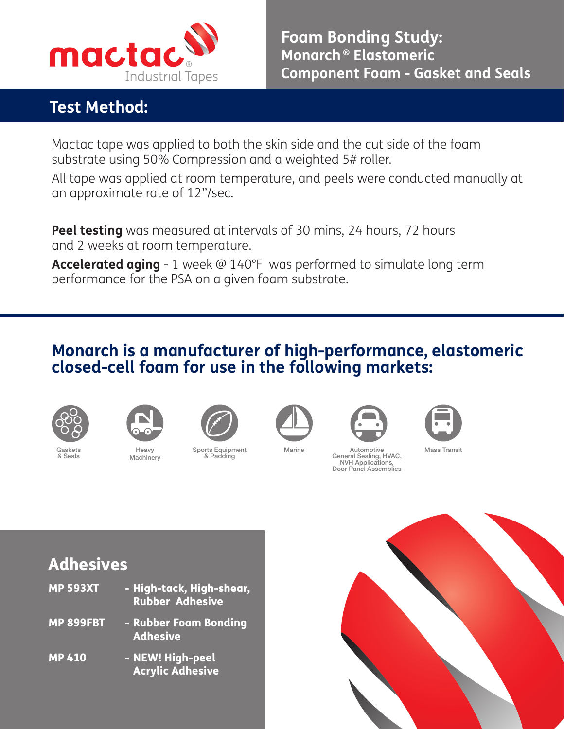

## **Test Method:**

Mactac tape was applied to both the skin side and the cut side of the foam substrate using 50% Compression and a weighted 5# roller.

All tape was applied at room temperature, and peels were conducted manually at an approximate rate of 12"/sec.

**Peel testing** was measured at intervals of 30 mins, 24 hours, 72 hours and 2 weeks at room temperature.

**Accelerated aging** - 1 week @ 140°F was performed to simulate long term performance for the PSA on a given foam substrate.

## **Monarch is a manufacturer of high-performance, elastomeric closed-cell foam for use in the following markets:**



Gaskets & Seals



Heavy **Machinery** 



Sports Equipment & Padding





Marine **Automotive** General Sealing, HVAC, NVH Applications, Door Panel Assemblies



Mass Transit

## Adhesives

| <b>MP 593XT</b>  | - High-tack, High-shear,<br><b>Rubber Adhesive</b> |
|------------------|----------------------------------------------------|
| <b>MP 899FBT</b> | - Rubber Foam Bonding<br><b>Adhesive</b>           |
| <b>MP 410</b>    | - NEW! High-peel<br><b>Acrylic Adhesive</b>        |